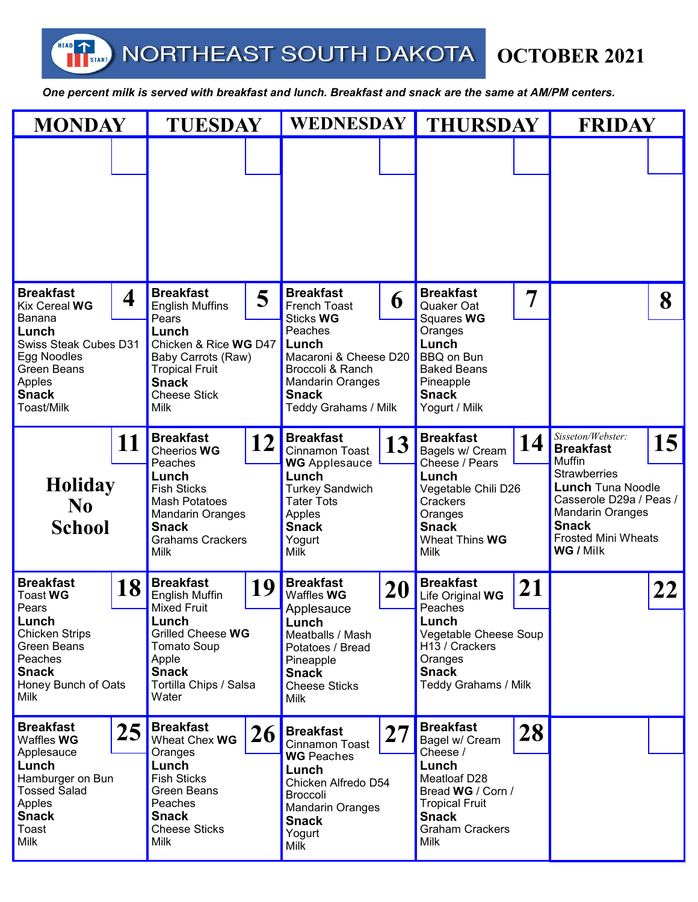NORTHEAST SOUTH DAKOTA

HEAD

**TERRETARY** 

**OCTOBER 2021** 

 *One percent milk is served with breakfast and lunch. Breakfast and snack are the same at AM/PM centers.* 

| <b>MONDAY</b>                                                                                                                                                          |    | <b>TUESDAY</b>                                                                                                                                                                                |    | <b>WEDNESDAY</b>                                                                                                                                                                                           |    | <b>THURSDAY</b>                                                                                                                                                                |    | <b>FRIDAY</b>                                                                                                                                                                                                                    |    |
|------------------------------------------------------------------------------------------------------------------------------------------------------------------------|----|-----------------------------------------------------------------------------------------------------------------------------------------------------------------------------------------------|----|------------------------------------------------------------------------------------------------------------------------------------------------------------------------------------------------------------|----|--------------------------------------------------------------------------------------------------------------------------------------------------------------------------------|----|----------------------------------------------------------------------------------------------------------------------------------------------------------------------------------------------------------------------------------|----|
|                                                                                                                                                                        |    |                                                                                                                                                                                               |    |                                                                                                                                                                                                            |    |                                                                                                                                                                                |    |                                                                                                                                                                                                                                  |    |
| <b>Breakfast</b><br>4<br>Kix Cereal WG<br>Banana<br>Lunch<br><b>Swiss Steak Cubes D31</b><br>Egg Noodles<br>Green Beans<br>Apples<br><b>Snack</b><br><b>Toast/Milk</b> |    | <b>Breakfast</b><br>5<br><b>English Muffins</b><br>Pears<br>Lunch<br>Chicken & Rice WG D47<br>Baby Carrots (Raw)<br><b>Tropical Fruit</b><br><b>Snack</b><br><b>Cheese Stick</b>              |    | <b>Breakfast</b><br>6<br>French Toast<br><b>Sticks WG</b><br>Peaches<br>Lunch<br>Macaroni & Cheese D20<br>Broccoli & Ranch<br><b>Mandarin Oranges</b><br><b>Snack</b>                                      |    | <b>Breakfast</b><br>Quaker Oat<br>Squares WG<br>Oranges<br>Lunch<br><b>BBQ on Bun</b><br><b>Baked Beans</b><br>Pineapple<br><b>Snack</b>                                       | 7  |                                                                                                                                                                                                                                  | 8  |
| 11<br><b>Holiday</b><br>N <sub>0</sub><br><b>School</b>                                                                                                                |    | Milk<br><b>Breakfast</b><br>12<br>Cheerios WG<br>Peaches<br>Lunch<br><b>Fish Sticks</b><br><b>Mash Potatoes</b><br><b>Mandarin Oranges</b><br><b>Snack</b><br><b>Grahams Crackers</b><br>Milk |    | <b>Teddy Grahams / Milk</b><br><b>Breakfast</b><br>13<br>Cinnamon Toast<br><b>WG</b> Applesauce<br>Lunch<br><b>Turkey Sandwich</b><br><b>Tater Tots</b><br>Apples<br><b>Snack</b><br>Yogurt<br><b>Milk</b> |    | Yogurt / Milk<br><b>Breakfast</b><br>14<br>Bagels w/ Cream<br>Cheese / Pears<br>Lunch<br>Vegetable Chili D26<br>Crackers<br>Oranges<br><b>Snack</b><br>Wheat Thins WG<br>Milk  |    | Sisseton/Webster:<br>15<br><b>Breakfast</b><br><b>Muffin</b><br><b>Strawberries</b><br><b>Lunch Tuna Noodle</b><br>Casserole D29a / Peas /<br><b>Mandarin Oranges</b><br><b>Snack</b><br><b>Frosted Mini Wheats</b><br>WG / Milk |    |
| <b>Breakfast</b><br><b>Toast WG</b><br>Pears<br>Lunch<br><b>Chicken Strips</b><br><b>Green Beans</b><br>Peaches<br><b>Snack</b><br>Honey Bunch of Oats<br>Milk         | 18 | <b>Breakfast</b><br>English Muffin<br><b>Mixed Fruit</b><br>Lunch<br>Grilled Cheese WG<br><b>Tomato Soup</b><br>Apple<br><b>Snack</b><br>Tortilla Chips / Salsa<br>Water                      | 19 | <b>Breakfast</b><br>Waffles WG<br>Applesauce<br>Lunch<br>Meatballs / Mash<br>Potatoes / Bread<br>Pineapple<br><b>Snack</b><br><b>Cheese Sticks</b><br><b>Milk</b>                                          | 20 | <b>Breakfast</b><br>Life Original WG<br>Peaches<br>Lunch<br>Vegetable Cheese Soup<br>H13 / Crackers<br>Oranges<br><b>Snack</b><br>Teddy Grahams / Milk                         | 21 |                                                                                                                                                                                                                                  | 22 |
| <b>Breakfast</b><br>Waffles WG<br>Applesauce<br>Lunch<br>Hamburger on Bun<br><b>Tossed Salad</b><br>Apples<br><b>Snack</b><br>Toast<br><b>Milk</b>                     | 25 | <b>Breakfast</b><br>Wheat Chex WG<br>Oranges<br>Lunch<br><b>Fish Sticks</b><br>Green Beans<br>Peaches<br><b>Snack</b><br><b>Cheese Sticks</b><br><b>Milk</b>                                  | 26 | <b>Breakfast</b><br><b>Cinnamon Toast</b><br><b>WG</b> Peaches<br>Lunch<br>Chicken Alfredo D54<br><b>Broccoli</b><br><b>Mandarin Oranges</b><br><b>Snack</b><br>Yogurt<br><b>Milk</b>                      | 27 | <b>Breakfast</b><br>Bagel w/ Cream<br>Cheese /<br>Lunch<br>Meatloaf D28<br>Bread WG / Corn /<br><b>Tropical Fruit</b><br><b>Snack</b><br><b>Graham Crackers</b><br><b>Milk</b> | 28 |                                                                                                                                                                                                                                  |    |